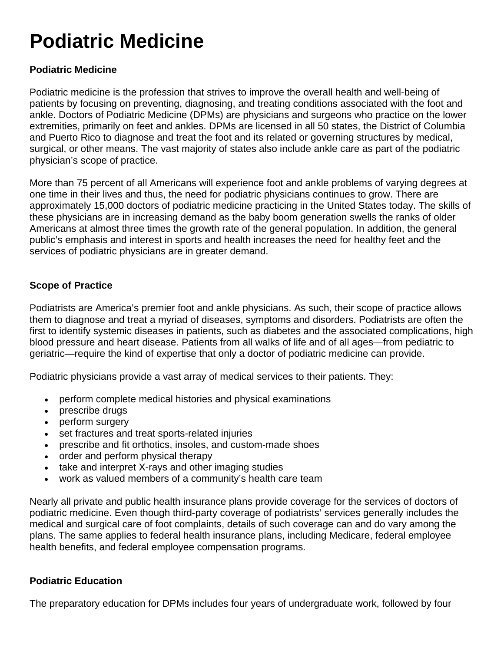# **Podiatric Medicine**

# **Podiatric Medicine**

Podiatric medicine is the profession that strives to improve the overall health and well-being of patients by focusing on preventing, diagnosing, and treating conditions associated with the foot and ankle. Doctors of Podiatric Medicine (DPMs) are physicians and surgeons who practice on the lower extremities, primarily on feet and ankles. DPMs are licensed in all 50 states, the District of Columbia and Puerto Rico to diagnose and treat the foot and its related or governing structures by medical, surgical, or other means. The vast majority of states also include ankle care as part of the podiatric physician's scope of practice.

More than 75 percent of all Americans will experience foot and ankle problems of varying degrees at one time in their lives and thus, the need for podiatric physicians continues to grow. There are approximately 15,000 doctors of podiatric medicine practicing in the United States today. The skills of these physicians are in increasing demand as the baby boom generation swells the ranks of older Americans at almost three times the growth rate of the general population. In addition, the general public's emphasis and interest in sports and health increases the need for healthy feet and the services of podiatric physicians are in greater demand.

## **Scope of Practice**

Podiatrists are America's premier foot and ankle physicians. As such, their scope of practice allows them to diagnose and treat a myriad of diseases, symptoms and disorders. Podiatrists are often the first to identify systemic diseases in patients, such as diabetes and the associated complications, high blood pressure and heart disease. Patients from all walks of life and of all ages—from pediatric to geriatric—require the kind of expertise that only a doctor of podiatric medicine can provide.

Podiatric physicians provide a vast array of medical services to their patients. They:

- perform complete medical histories and physical examinations
- prescribe drugs
- perform surgery
- set fractures and treat sports-related injuries
- prescribe and fit orthotics, insoles, and custom-made shoes
- order and perform physical therapy
- take and interpret X-rays and other imaging studies
- work as valued members of a community's health care team

Nearly all private and public health insurance plans provide coverage for the services of doctors of podiatric medicine. Even though third-party coverage of podiatrists' services generally includes the medical and surgical care of foot complaints, details of such coverage can and do vary among the plans. The same applies to federal health insurance plans, including Medicare, federal employee health benefits, and federal employee compensation programs.

### **Podiatric Education**

The preparatory education for DPMs includes four years of undergraduate work, followed by four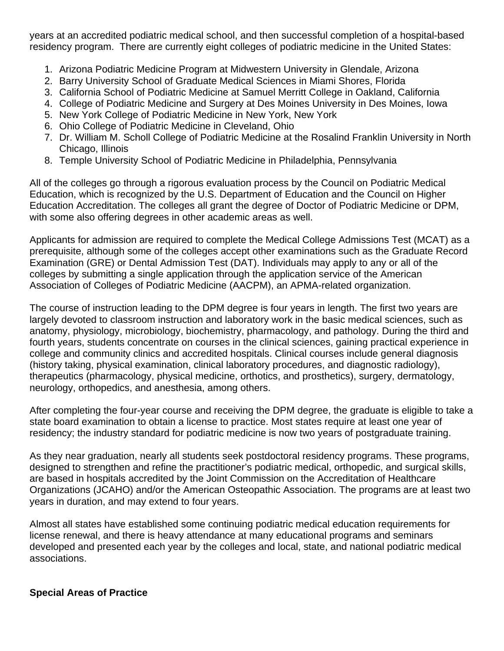years at an accredited podiatric medical school, and then successful completion of a hospital-based residency program. There are currently eight colleges of podiatric medicine in the United States:

- 1. Arizona Podiatric Medicine Program at Midwestern University in Glendale, Arizona
- 2. Barry University School of Graduate Medical Sciences in Miami Shores, Florida
- 3. California School of Podiatric Medicine at Samuel Merritt College in Oakland, California
- 4. College of Podiatric Medicine and Surgery at Des Moines University in Des Moines, Iowa
- 5. New York College of Podiatric Medicine in New York, New York
- 6. Ohio College of Podiatric Medicine in Cleveland, Ohio
- 7. Dr. William M. Scholl College of Podiatric Medicine at the Rosalind Franklin University in North Chicago, Illinois
- 8. Temple University School of Podiatric Medicine in Philadelphia, Pennsylvania

All of the colleges go through a rigorous evaluation process by the Council on Podiatric Medical Education, which is recognized by the U.S. Department of Education and the Council on Higher Education Accreditation. The colleges all grant the degree of Doctor of Podiatric Medicine or DPM, with some also offering degrees in other academic areas as well.

Applicants for admission are required to complete the Medical College Admissions Test (MCAT) as a prerequisite, although some of the colleges accept other examinations such as the Graduate Record Examination (GRE) or Dental Admission Test (DAT). Individuals may apply to any or all of the colleges by submitting a single application through the application service of the American Association of Colleges of Podiatric Medicine (AACPM), an APMA-related organization.

The course of instruction leading to the DPM degree is four years in length. The first two years are largely devoted to classroom instruction and laboratory work in the basic medical sciences, such as anatomy, physiology, microbiology, biochemistry, pharmacology, and pathology. During the third and fourth years, students concentrate on courses in the clinical sciences, gaining practical experience in college and community clinics and accredited hospitals. Clinical courses include general diagnosis (history taking, physical examination, clinical laboratory procedures, and diagnostic radiology), therapeutics (pharmacology, physical medicine, orthotics, and prosthetics), surgery, dermatology, neurology, orthopedics, and anesthesia, among others.

After completing the four-year course and receiving the DPM degree, the graduate is eligible to take a state board examination to obtain a license to practice. Most states require at least one year of residency; the industry standard for podiatric medicine is now two years of postgraduate training.

As they near graduation, nearly all students seek postdoctoral residency programs. These programs, designed to strengthen and refine the practitioner's podiatric medical, orthopedic, and surgical skills, are based in hospitals accredited by the Joint Commission on the Accreditation of Healthcare Organizations (JCAHO) and/or the American Osteopathic Association. The programs are at least two years in duration, and may extend to four years.

Almost all states have established some continuing podiatric medical education requirements for license renewal, and there is heavy attendance at many educational programs and seminars developed and presented each year by the colleges and local, state, and national podiatric medical associations.

### **Special Areas of Practice**